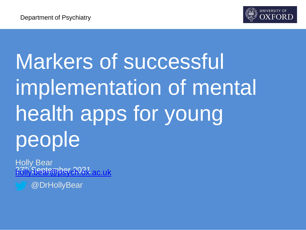

# Markers of successful implementation of mental health apps for young people

<u>R7th Seetember 2021 ac.uk</u> Holly Bear

@DrHollyBear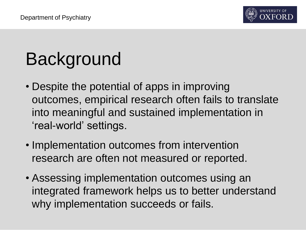

# Background

- Despite the potential of apps in improving outcomes, empirical research often fails to translate into meaningful and sustained implementation in 'real-world' settings.
- Implementation outcomes from intervention research are often not measured or reported.
- Assessing implementation outcomes using an integrated framework helps us to better understand why implementation succeeds or fails.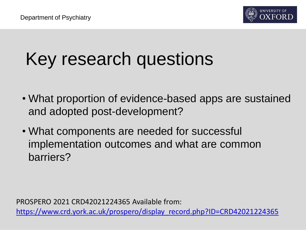

# Key research questions

- What proportion of evidence-based apps are sustained and adopted post-development?
- What components are needed for successful implementation outcomes and what are common barriers?

PROSPERO 2021 CRD42021224365 Available from: [https://www.crd.york.ac.uk/prospero/display\\_record.php?ID=CRD42021224365](https://www.crd.york.ac.uk/prospero/display_record.php?ID=CRD42021224365)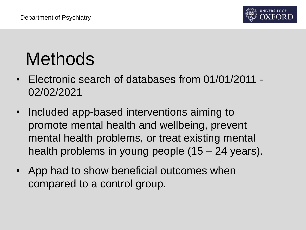

# Methods

- Electronic search of databases from 01/01/2011 02/02/2021
- Included app-based interventions aiming to promote mental health and wellbeing, prevent mental health problems, or treat existing mental health problems in young people (15 – 24 years).
- App had to show beneficial outcomes when compared to a control group.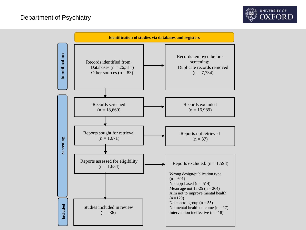

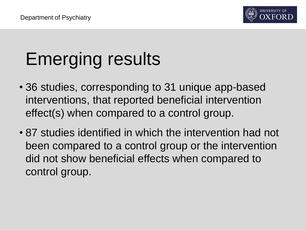# Emerging results

- 36 studies, corresponding to 31 unique app-based interventions, that reported beneficial intervention effect(s) when compared to a control group.
- 87 studies identified in which the intervention had not been compared to a control group or the intervention did not show beneficial effects when compared to control group.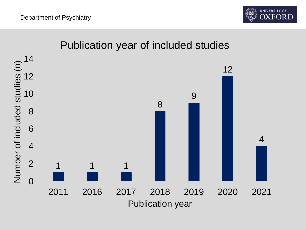

#### Publication year of included studies

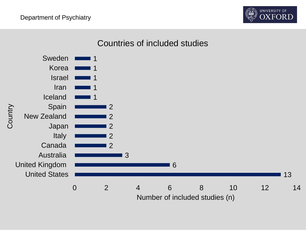

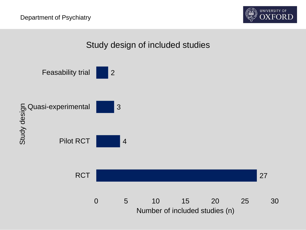

#### Study design of included studies

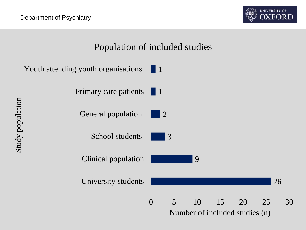

#### Population of included studies

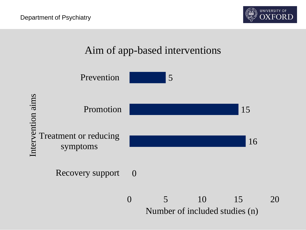



Number of included studies (n)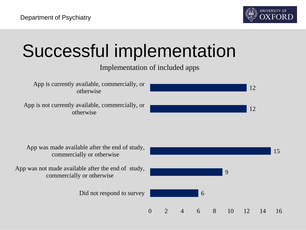# Successful implementation

#### Implementation of included apps

App is currently available, commercially, or otherwise

App is not currently available, commercially, or otherwise



App was made available after the end of study, commercially or otherwise

App was not made available after the end of study, commercially or otherwise

Did not respond to survey

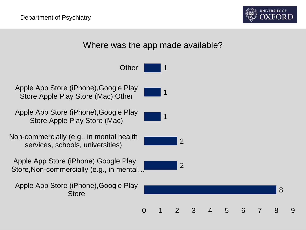

8



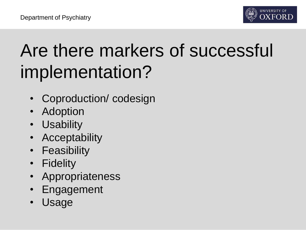

# Are there markers of successful implementation?

- Coproduction/ codesign
- Adoption
- Usability
- Acceptability
- Feasibility
- Fidelity
- **Appropriateness**
- **Engagement**
- Usage